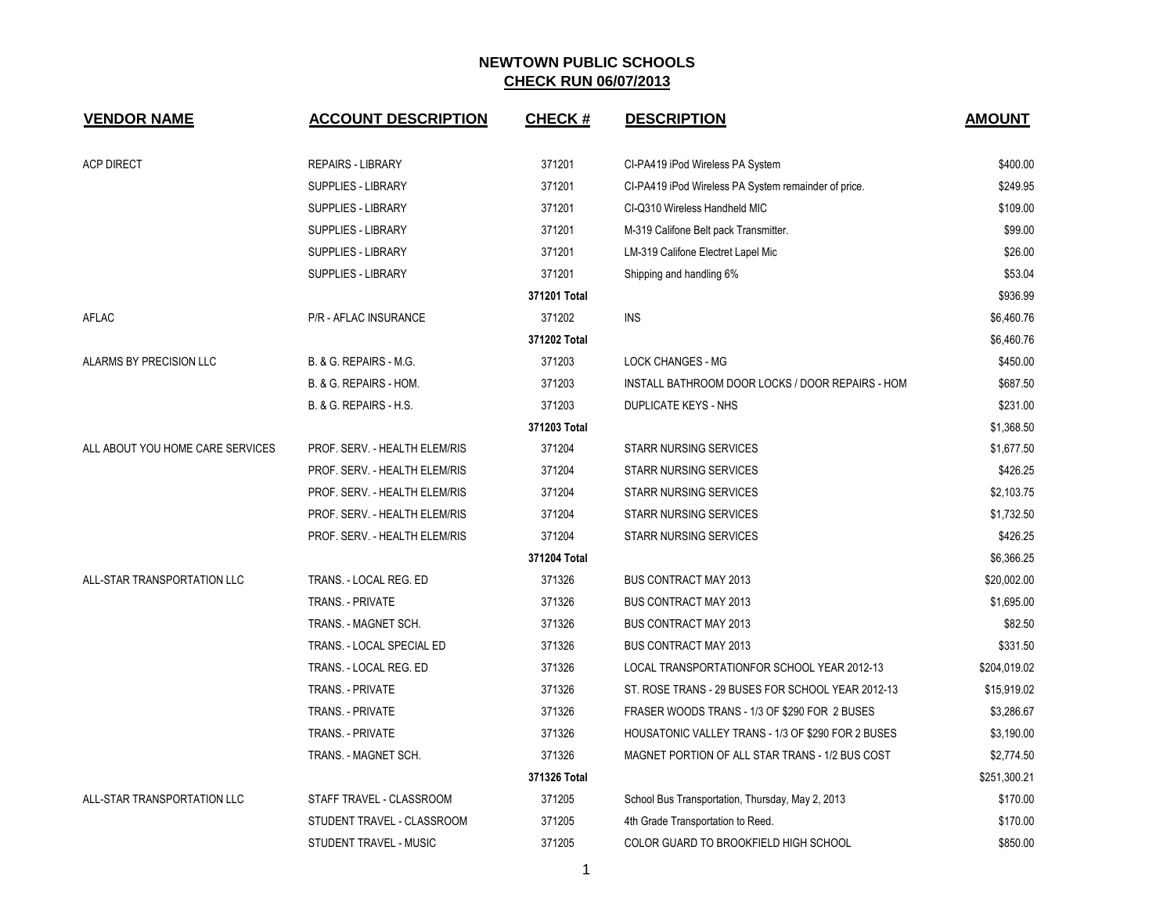| <b>VENDOR NAME</b>               | <b>ACCOUNT DESCRIPTION</b>    | <b>CHECK#</b> | <b>DESCRIPTION</b>                                   | <b>AMOUNT</b> |
|----------------------------------|-------------------------------|---------------|------------------------------------------------------|---------------|
| <b>ACP DIRECT</b>                | <b>REPAIRS - LIBRARY</b>      | 371201        | CI-PA419 iPod Wireless PA System                     | \$400.00      |
|                                  | SUPPLIES - LIBRARY            |               |                                                      | \$249.95      |
|                                  |                               | 371201        | CI-PA419 iPod Wireless PA System remainder of price. |               |
|                                  | SUPPLIES - LIBRARY            | 371201        | CI-Q310 Wireless Handheld MIC                        | \$109.00      |
|                                  | <b>SUPPLIES - LIBRARY</b>     | 371201        | M-319 Califone Belt pack Transmitter.                | \$99.00       |
|                                  | <b>SUPPLIES - LIBRARY</b>     | 371201        | LM-319 Califone Electret Lapel Mic                   | \$26.00       |
|                                  | <b>SUPPLIES - LIBRARY</b>     | 371201        | Shipping and handling 6%                             | \$53.04       |
|                                  |                               | 371201 Total  |                                                      | \$936.99      |
| AFLAC                            | P/R - AFLAC INSURANCE         | 371202        | <b>INS</b>                                           | \$6,460.76    |
|                                  |                               | 371202 Total  |                                                      | \$6,460.76    |
| ALARMS BY PRECISION LLC          | B. & G. REPAIRS - M.G.        | 371203        | <b>LOCK CHANGES - MG</b>                             | \$450.00      |
|                                  | B. & G. REPAIRS - HOM.        | 371203        | INSTALL BATHROOM DOOR LOCKS / DOOR REPAIRS - HOM     | \$687.50      |
|                                  | B. & G. REPAIRS - H.S.        | 371203        | DUPLICATE KEYS - NHS                                 | \$231.00      |
|                                  |                               | 371203 Total  |                                                      | \$1,368.50    |
| ALL ABOUT YOU HOME CARE SERVICES | PROF. SERV. - HEALTH ELEM/RIS | 371204        | <b>STARR NURSING SERVICES</b>                        | \$1,677.50    |
|                                  | PROF. SERV. - HEALTH ELEM/RIS | 371204        | <b>STARR NURSING SERVICES</b>                        | \$426.25      |
|                                  | PROF. SERV. - HEALTH ELEM/RIS | 371204        | STARR NURSING SERVICES                               | \$2,103.75    |
|                                  | PROF. SERV. - HEALTH ELEM/RIS | 371204        | <b>STARR NURSING SERVICES</b>                        | \$1,732.50    |
|                                  | PROF. SERV. - HEALTH ELEM/RIS | 371204        | <b>STARR NURSING SERVICES</b>                        | \$426.25      |
|                                  |                               | 371204 Total  |                                                      | \$6,366.25    |
| ALL-STAR TRANSPORTATION LLC      | TRANS. - LOCAL REG. ED        | 371326        | <b>BUS CONTRACT MAY 2013</b>                         | \$20,002.00   |
|                                  | TRANS. - PRIVATE              | 371326        | <b>BUS CONTRACT MAY 2013</b>                         | \$1,695.00    |
|                                  | TRANS. - MAGNET SCH.          | 371326        | BUS CONTRACT MAY 2013                                | \$82.50       |
|                                  | TRANS. - LOCAL SPECIAL ED     | 371326        | <b>BUS CONTRACT MAY 2013</b>                         | \$331.50      |
|                                  | TRANS. - LOCAL REG. ED        | 371326        | LOCAL TRANSPORTATIONFOR SCHOOL YEAR 2012-13          | \$204,019.02  |
|                                  | <b>TRANS. - PRIVATE</b>       | 371326        | ST. ROSE TRANS - 29 BUSES FOR SCHOOL YEAR 2012-13    | \$15,919.02   |
|                                  | <b>TRANS. - PRIVATE</b>       | 371326        | FRASER WOODS TRANS - 1/3 OF \$290 FOR 2 BUSES        | \$3,286.67    |
|                                  | TRANS. - PRIVATE              | 371326        | HOUSATONIC VALLEY TRANS - 1/3 OF \$290 FOR 2 BUSES   | \$3,190.00    |
|                                  | TRANS. - MAGNET SCH.          | 371326        | MAGNET PORTION OF ALL STAR TRANS - 1/2 BUS COST      | \$2,774.50    |
|                                  |                               | 371326 Total  |                                                      | \$251,300.21  |
| ALL-STAR TRANSPORTATION LLC      | STAFF TRAVEL - CLASSROOM      | 371205        | School Bus Transportation, Thursday, May 2, 2013     | \$170.00      |
|                                  | STUDENT TRAVEL - CLASSROOM    | 371205        | 4th Grade Transportation to Reed.                    | \$170.00      |
|                                  | STUDENT TRAVEL - MUSIC        | 371205        | COLOR GUARD TO BROOKFIELD HIGH SCHOOL                | \$850.00      |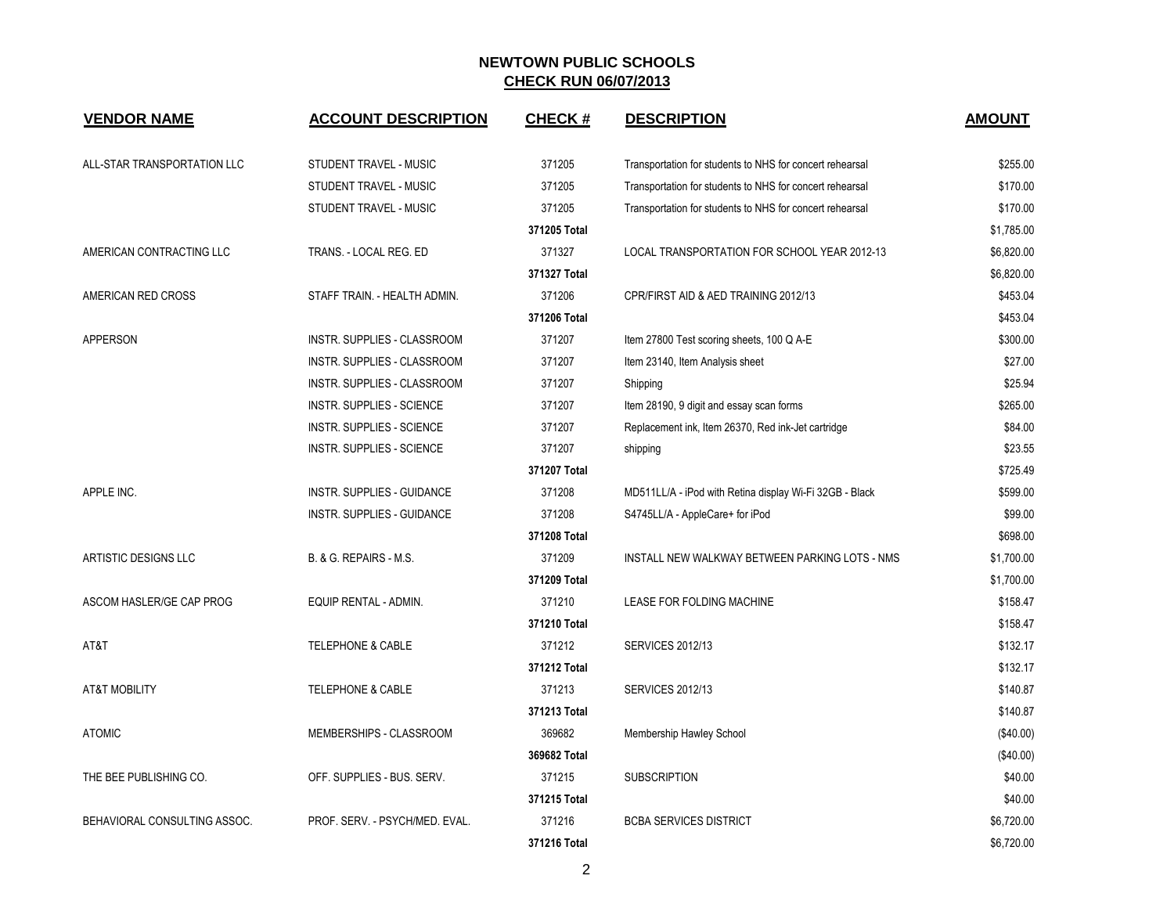| <b>VENDOR NAME</b>           | <b>ACCOUNT DESCRIPTION</b>       | <b>CHECK#</b> | <b>DESCRIPTION</b>                                       | <b>AMOUNT</b> |
|------------------------------|----------------------------------|---------------|----------------------------------------------------------|---------------|
| ALL-STAR TRANSPORTATION LLC  | STUDENT TRAVEL - MUSIC           | 371205        | Transportation for students to NHS for concert rehearsal | \$255.00      |
|                              | STUDENT TRAVEL - MUSIC           | 371205        | Transportation for students to NHS for concert rehearsal | \$170.00      |
|                              | STUDENT TRAVEL - MUSIC           | 371205        | Transportation for students to NHS for concert rehearsal | \$170.00      |
|                              |                                  | 371205 Total  |                                                          | \$1,785.00    |
| AMERICAN CONTRACTING LLC     | TRANS. - LOCAL REG. ED           | 371327        | LOCAL TRANSPORTATION FOR SCHOOL YEAR 2012-13             | \$6,820.00    |
|                              |                                  | 371327 Total  |                                                          | \$6,820.00    |
| AMERICAN RED CROSS           | STAFF TRAIN. - HEALTH ADMIN.     | 371206        | CPR/FIRST AID & AED TRAINING 2012/13                     | \$453.04      |
|                              |                                  | 371206 Total  |                                                          | \$453.04      |
| <b>APPERSON</b>              | INSTR. SUPPLIES - CLASSROOM      | 371207        | Item 27800 Test scoring sheets, 100 Q A-E                | \$300.00      |
|                              | INSTR. SUPPLIES - CLASSROOM      | 371207        | Item 23140, Item Analysis sheet                          | \$27.00       |
|                              | INSTR. SUPPLIES - CLASSROOM      | 371207        | Shipping                                                 | \$25.94       |
|                              | INSTR. SUPPLIES - SCIENCE        | 371207        | Item 28190, 9 digit and essay scan forms                 | \$265.00      |
|                              | <b>INSTR. SUPPLIES - SCIENCE</b> | 371207        | Replacement ink, Item 26370, Red ink-Jet cartridge       | \$84.00       |
|                              | <b>INSTR. SUPPLIES - SCIENCE</b> | 371207        | shipping                                                 | \$23.55       |
|                              |                                  | 371207 Total  |                                                          | \$725.49      |
| APPLE INC.                   | INSTR. SUPPLIES - GUIDANCE       | 371208        | MD511LL/A - iPod with Retina display Wi-Fi 32GB - Black  | \$599.00      |
|                              | INSTR. SUPPLIES - GUIDANCE       | 371208        | S4745LL/A - AppleCare+ for iPod                          | \$99.00       |
|                              |                                  | 371208 Total  |                                                          | \$698.00      |
| ARTISTIC DESIGNS LLC         | B. & G. REPAIRS - M.S.           | 371209        | INSTALL NEW WALKWAY BETWEEN PARKING LOTS - NMS           | \$1,700.00    |
|                              |                                  | 371209 Total  |                                                          | \$1,700.00    |
| ASCOM HASLER/GE CAP PROG     | EQUIP RENTAL - ADMIN.            | 371210        | LEASE FOR FOLDING MACHINE                                | \$158.47      |
|                              |                                  | 371210 Total  |                                                          | \$158.47      |
| AT&T                         | <b>TELEPHONE &amp; CABLE</b>     | 371212        | <b>SERVICES 2012/13</b>                                  | \$132.17      |
|                              |                                  | 371212 Total  |                                                          | \$132.17      |
| <b>AT&amp;T MOBILITY</b>     | TELEPHONE & CABLE                | 371213        | <b>SERVICES 2012/13</b>                                  | \$140.87      |
|                              |                                  | 371213 Total  |                                                          | \$140.87      |
| <b>ATOMIC</b>                | MEMBERSHIPS - CLASSROOM          | 369682        | Membership Hawley School                                 | (\$40.00)     |
|                              |                                  | 369682 Total  |                                                          | (\$40.00)     |
| THE BEE PUBLISHING CO.       | OFF. SUPPLIES - BUS. SERV.       | 371215        | <b>SUBSCRIPTION</b>                                      | \$40.00       |
|                              |                                  | 371215 Total  |                                                          | \$40.00       |
| BEHAVIORAL CONSULTING ASSOC. | PROF. SERV. - PSYCH/MED. EVAL.   | 371216        | <b>BCBA SERVICES DISTRICT</b>                            | \$6,720.00    |
|                              |                                  | 371216 Total  |                                                          | \$6,720.00    |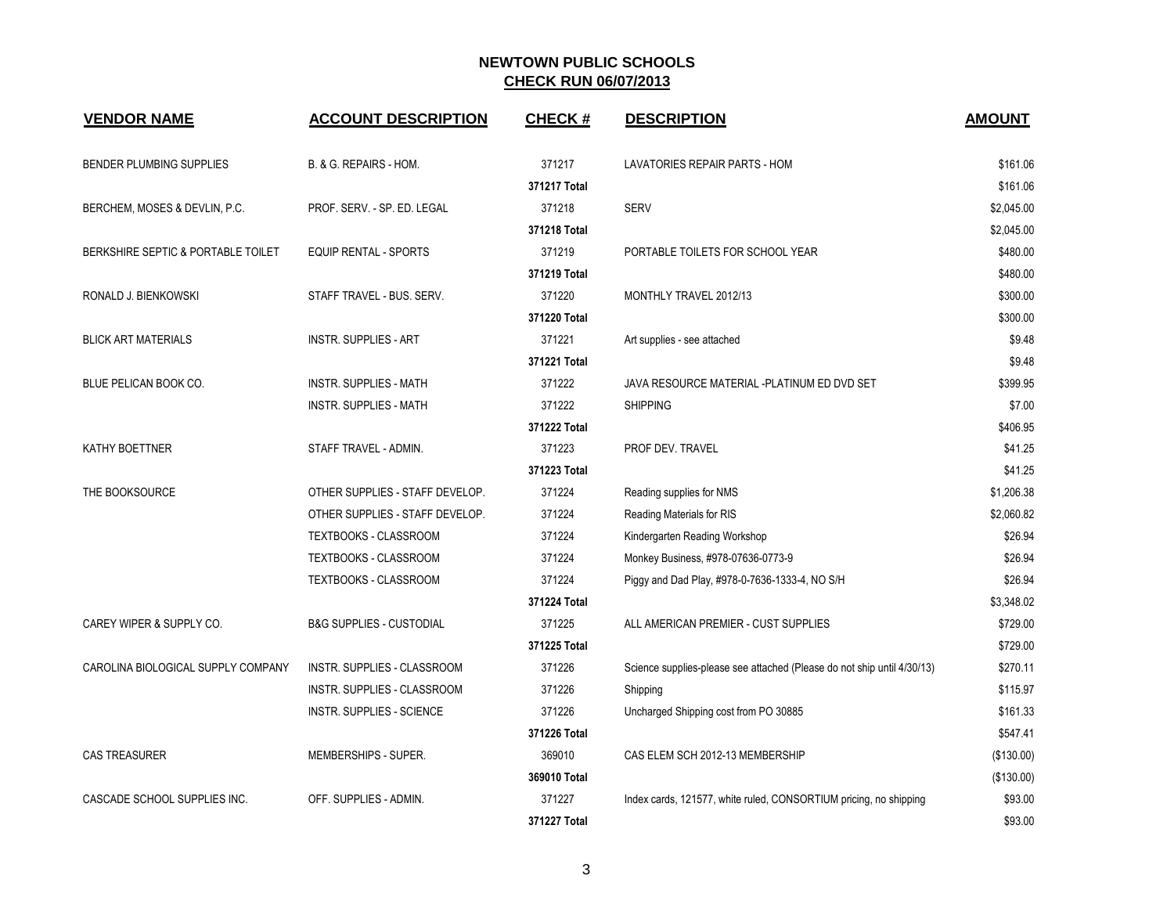| <b>VENDOR NAME</b>                 | <b>ACCOUNT DESCRIPTION</b>          | <b>CHECK#</b> | <b>DESCRIPTION</b>                                                      | <b>AMOUNT</b> |
|------------------------------------|-------------------------------------|---------------|-------------------------------------------------------------------------|---------------|
| BENDER PLUMBING SUPPLIES           | B. & G. REPAIRS - HOM.              | 371217        | LAVATORIES REPAIR PARTS - HOM                                           | \$161.06      |
|                                    |                                     | 371217 Total  |                                                                         | \$161.06      |
| BERCHEM, MOSES & DEVLIN, P.C.      | PROF. SERV. - SP. ED. LEGAL         | 371218        | <b>SERV</b>                                                             | \$2,045.00    |
|                                    |                                     | 371218 Total  |                                                                         | \$2,045.00    |
| BERKSHIRE SEPTIC & PORTABLE TOILET | <b>EQUIP RENTAL - SPORTS</b>        | 371219        | PORTABLE TOILETS FOR SCHOOL YEAR                                        | \$480.00      |
|                                    |                                     | 371219 Total  |                                                                         | \$480.00      |
| RONALD J. BIENKOWSKI               | STAFF TRAVEL - BUS. SERV.           | 371220        | MONTHLY TRAVEL 2012/13                                                  | \$300.00      |
|                                    |                                     | 371220 Total  |                                                                         | \$300.00      |
| <b>BLICK ART MATERIALS</b>         | <b>INSTR. SUPPLIES - ART</b>        | 371221        | Art supplies - see attached                                             | \$9.48        |
|                                    |                                     | 371221 Total  |                                                                         | \$9.48        |
| BLUE PELICAN BOOK CO.              | <b>INSTR. SUPPLIES - MATH</b>       | 371222        | JAVA RESOURCE MATERIAL -PLATINUM ED DVD SET                             | \$399.95      |
|                                    | <b>INSTR. SUPPLIES - MATH</b>       | 371222        | <b>SHIPPING</b>                                                         | \$7.00        |
|                                    |                                     | 371222 Total  |                                                                         | \$406.95      |
| KATHY BOETTNER                     | STAFF TRAVEL - ADMIN.               | 371223        | PROF DEV. TRAVEL                                                        | \$41.25       |
|                                    |                                     | 371223 Total  |                                                                         | \$41.25       |
| THE BOOKSOURCE                     | OTHER SUPPLIES - STAFF DEVELOP.     | 371224        | Reading supplies for NMS                                                | \$1,206.38    |
|                                    | OTHER SUPPLIES - STAFF DEVELOP.     | 371224        | Reading Materials for RIS                                               | \$2,060.82    |
|                                    | TEXTBOOKS - CLASSROOM               | 371224        | Kindergarten Reading Workshop                                           | \$26.94       |
|                                    | TEXTBOOKS - CLASSROOM               | 371224        | Monkey Business, #978-07636-0773-9                                      | \$26.94       |
|                                    | TEXTBOOKS - CLASSROOM               | 371224        | Piggy and Dad Play, #978-0-7636-1333-4, NO S/H                          | \$26.94       |
|                                    |                                     | 371224 Total  |                                                                         | \$3.348.02    |
| CAREY WIPER & SUPPLY CO.           | <b>B&amp;G SUPPLIES - CUSTODIAL</b> | 371225        | ALL AMERICAN PREMIER - CUST SUPPLIES                                    | \$729.00      |
|                                    |                                     | 371225 Total  |                                                                         | \$729.00      |
| CAROLINA BIOLOGICAL SUPPLY COMPANY | <b>INSTR. SUPPLIES - CLASSROOM</b>  | 371226        | Science supplies-please see attached (Please do not ship until 4/30/13) | \$270.11      |
|                                    | INSTR. SUPPLIES - CLASSROOM         | 371226        | Shipping                                                                | \$115.97      |
|                                    | INSTR. SUPPLIES - SCIENCE           | 371226        | Uncharged Shipping cost from PO 30885                                   | \$161.33      |
|                                    |                                     | 371226 Total  |                                                                         | \$547.41      |
| <b>CAS TREASURER</b>               | MEMBERSHIPS - SUPER.                | 369010        | CAS ELEM SCH 2012-13 MEMBERSHIP                                         | (\$130.00)    |
|                                    |                                     | 369010 Total  |                                                                         | (\$130.00)    |
| CASCADE SCHOOL SUPPLIES INC.       | OFF. SUPPLIES - ADMIN.              | 371227        | Index cards, 121577, white ruled, CONSORTIUM pricing, no shipping       | \$93.00       |
|                                    |                                     | 371227 Total  |                                                                         | \$93.00       |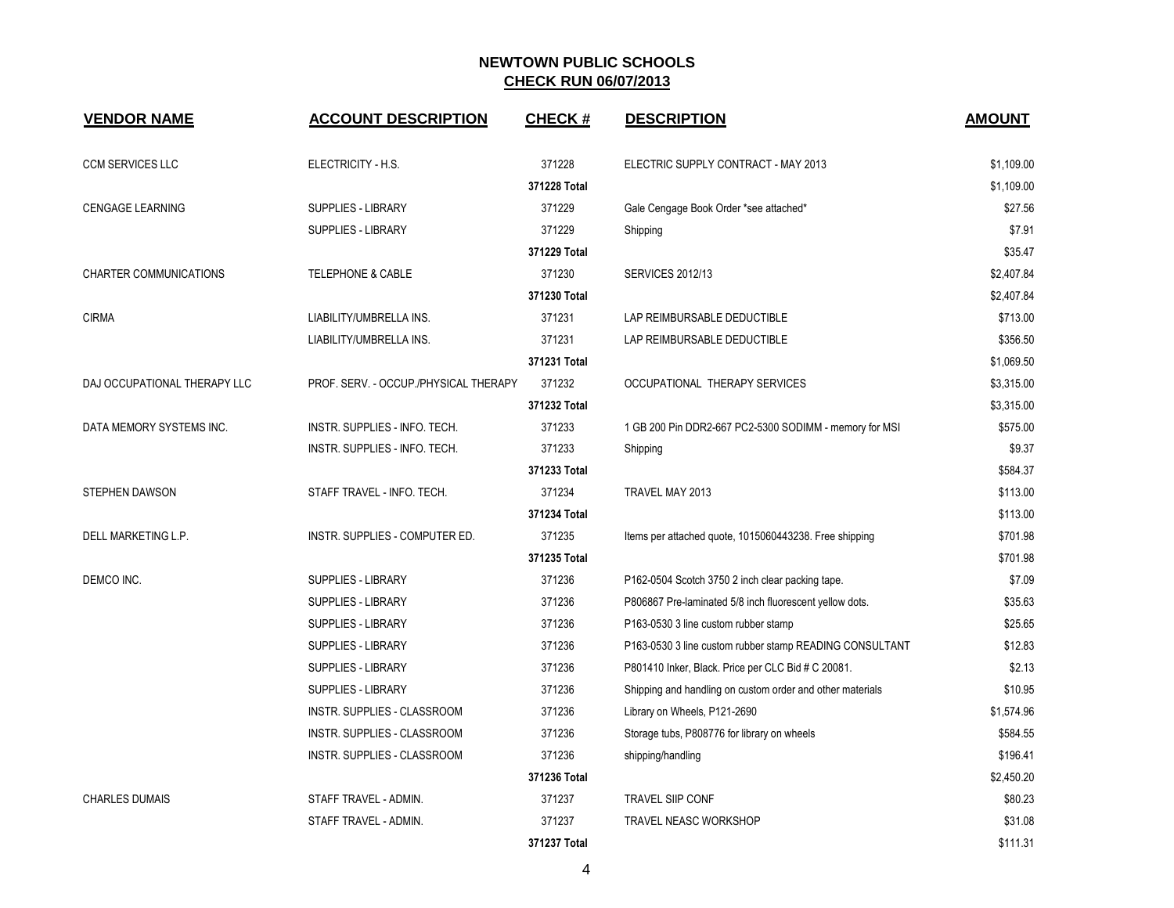| <b>VENDOR NAME</b>            | <b>ACCOUNT DESCRIPTION</b>            | <b>CHECK#</b> | <b>DESCRIPTION</b>                                        | <b>AMOUNT</b> |
|-------------------------------|---------------------------------------|---------------|-----------------------------------------------------------|---------------|
| <b>CCM SERVICES LLC</b>       | ELECTRICITY - H.S.                    | 371228        | ELECTRIC SUPPLY CONTRACT - MAY 2013                       | \$1,109.00    |
|                               |                                       | 371228 Total  |                                                           | \$1,109.00    |
| <b>CENGAGE LEARNING</b>       | <b>SUPPLIES - LIBRARY</b>             | 371229        | Gale Cengage Book Order *see attached*                    | \$27.56       |
|                               | SUPPLIES - LIBRARY                    | 371229        | Shipping                                                  | \$7.91        |
|                               |                                       | 371229 Total  |                                                           | \$35.47       |
| <b>CHARTER COMMUNICATIONS</b> | <b>TELEPHONE &amp; CABLE</b>          | 371230        | <b>SERVICES 2012/13</b>                                   | \$2,407.84    |
|                               |                                       | 371230 Total  |                                                           | \$2,407.84    |
| <b>CIRMA</b>                  | LIABILITY/UMBRELLA INS.               | 371231        | LAP REIMBURSABLE DEDUCTIBLE                               | \$713.00      |
|                               | LIABILITY/UMBRELLA INS.               | 371231        | LAP REIMBURSABLE DEDUCTIBLE                               | \$356.50      |
|                               |                                       | 371231 Total  |                                                           | \$1,069.50    |
| DAJ OCCUPATIONAL THERAPY LLC  | PROF. SERV. - OCCUP./PHYSICAL THERAPY | 371232        | OCCUPATIONAL THERAPY SERVICES                             | \$3,315.00    |
|                               |                                       | 371232 Total  |                                                           | \$3,315.00    |
| DATA MEMORY SYSTEMS INC.      | INSTR. SUPPLIES - INFO. TECH.         | 371233        | 1 GB 200 Pin DDR2-667 PC2-5300 SODIMM - memory for MSI    | \$575.00      |
|                               | INSTR. SUPPLIES - INFO. TECH.         | 371233        | Shipping                                                  | \$9.37        |
|                               |                                       | 371233 Total  |                                                           | \$584.37      |
| STEPHEN DAWSON                | STAFF TRAVEL - INFO. TECH.            | 371234        | TRAVEL MAY 2013                                           | \$113.00      |
|                               |                                       | 371234 Total  |                                                           | \$113.00      |
| DELL MARKETING L.P.           | INSTR. SUPPLIES - COMPUTER ED.        | 371235        | Items per attached quote, 1015060443238. Free shipping    | \$701.98      |
|                               |                                       | 371235 Total  |                                                           | \$701.98      |
| DEMCO INC.                    | SUPPLIES - LIBRARY                    | 371236        | P162-0504 Scotch 3750 2 inch clear packing tape.          | \$7.09        |
|                               | SUPPLIES - LIBRARY                    | 371236        | P806867 Pre-laminated 5/8 inch fluorescent yellow dots.   | \$35.63       |
|                               | SUPPLIES - LIBRARY                    | 371236        | P163-0530 3 line custom rubber stamp                      | \$25.65       |
|                               | SUPPLIES - LIBRARY                    | 371236        | P163-0530 3 line custom rubber stamp READING CONSULTANT   | \$12.83       |
|                               | SUPPLIES - LIBRARY                    | 371236        | P801410 Inker, Black. Price per CLC Bid # C 20081.        | \$2.13        |
|                               | SUPPLIES - LIBRARY                    | 371236        | Shipping and handling on custom order and other materials | \$10.95       |
|                               | INSTR. SUPPLIES - CLASSROOM           | 371236        | Library on Wheels, P121-2690                              | \$1,574.96    |
|                               | INSTR. SUPPLIES - CLASSROOM           | 371236        | Storage tubs, P808776 for library on wheels               | \$584.55      |
|                               | INSTR. SUPPLIES - CLASSROOM           | 371236        | shipping/handling                                         | \$196.41      |
|                               |                                       | 371236 Total  |                                                           | \$2,450.20    |
| <b>CHARLES DUMAIS</b>         | STAFF TRAVEL - ADMIN.                 | 371237        | <b>TRAVEL SIIP CONF</b>                                   | \$80.23       |
|                               | STAFF TRAVEL - ADMIN.                 | 371237        | <b>TRAVEL NEASC WORKSHOP</b>                              | \$31.08       |
|                               |                                       | 371237 Total  |                                                           | \$111.31      |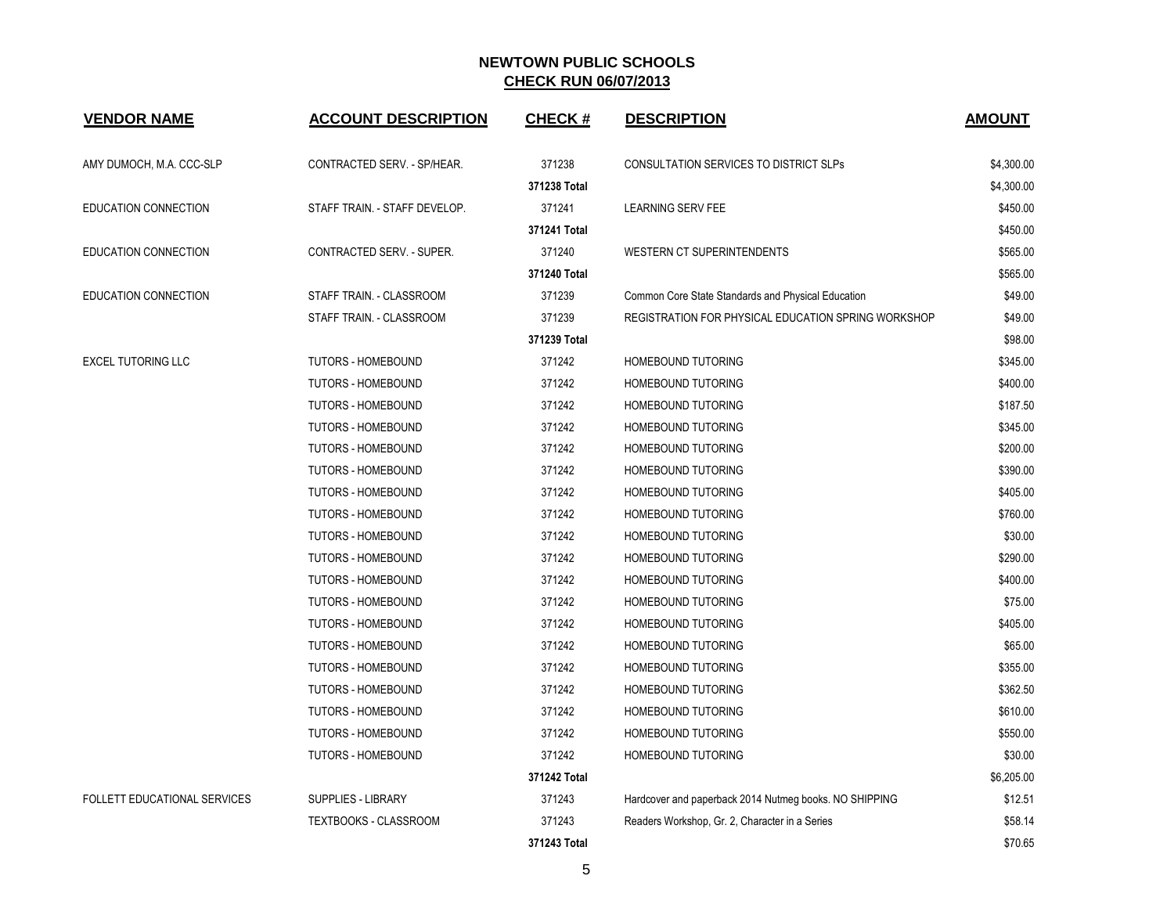| <b>VENDOR NAME</b>           | <b>ACCOUNT DESCRIPTION</b>    | <b>CHECK#</b> | <b>DESCRIPTION</b>                                     | <b>AMOUNT</b> |
|------------------------------|-------------------------------|---------------|--------------------------------------------------------|---------------|
|                              |                               |               |                                                        |               |
| AMY DUMOCH, M.A. CCC-SLP     | CONTRACTED SERV. - SP/HEAR.   | 371238        | CONSULTATION SERVICES TO DISTRICT SLPs                 | \$4,300.00    |
|                              |                               | 371238 Total  |                                                        | \$4,300.00    |
| EDUCATION CONNECTION         | STAFF TRAIN. - STAFF DEVELOP. | 371241        | <b>LEARNING SERV FEE</b>                               | \$450.00      |
|                              |                               | 371241 Total  |                                                        | \$450.00      |
| EDUCATION CONNECTION         | CONTRACTED SERV. - SUPER.     | 371240        | WESTERN CT SUPERINTENDENTS                             | \$565.00      |
|                              |                               | 371240 Total  |                                                        | \$565.00      |
| EDUCATION CONNECTION         | STAFF TRAIN. - CLASSROOM      | 371239        | Common Core State Standards and Physical Education     | \$49.00       |
|                              | STAFF TRAIN. - CLASSROOM      | 371239        | REGISTRATION FOR PHYSICAL EDUCATION SPRING WORKSHOP    | \$49.00       |
|                              |                               | 371239 Total  |                                                        | \$98.00       |
| <b>EXCEL TUTORING LLC</b>    | <b>TUTORS - HOMEBOUND</b>     | 371242        | HOMEBOUND TUTORING                                     | \$345.00      |
|                              | <b>TUTORS - HOMEBOUND</b>     | 371242        | HOMEBOUND TUTORING                                     | \$400.00      |
|                              | <b>TUTORS - HOMEBOUND</b>     | 371242        | HOMEBOUND TUTORING                                     | \$187.50      |
|                              | TUTORS - HOMEBOUND            | 371242        | HOMEBOUND TUTORING                                     | \$345.00      |
|                              | <b>TUTORS - HOMEBOUND</b>     | 371242        | HOMEBOUND TUTORING                                     | \$200.00      |
|                              | <b>TUTORS - HOMEBOUND</b>     | 371242        | HOMEBOUND TUTORING                                     | \$390.00      |
|                              | <b>TUTORS - HOMEBOUND</b>     | 371242        | HOMEBOUND TUTORING                                     | \$405.00      |
|                              | <b>TUTORS - HOMEBOUND</b>     | 371242        | HOMEBOUND TUTORING                                     | \$760.00      |
|                              | <b>TUTORS - HOMEBOUND</b>     | 371242        | HOMEBOUND TUTORING                                     | \$30.00       |
|                              | <b>TUTORS - HOMEBOUND</b>     | 371242        | HOMEBOUND TUTORING                                     | \$290.00      |
|                              | <b>TUTORS - HOMEBOUND</b>     | 371242        | HOMEBOUND TUTORING                                     | \$400.00      |
|                              | <b>TUTORS - HOMEBOUND</b>     | 371242        | <b>HOMEBOUND TUTORING</b>                              | \$75.00       |
|                              | <b>TUTORS - HOMEBOUND</b>     | 371242        | HOMEBOUND TUTORING                                     | \$405.00      |
|                              | TUTORS - HOMEBOUND            | 371242        | HOMEBOUND TUTORING                                     | \$65.00       |
|                              | <b>TUTORS - HOMEBOUND</b>     | 371242        | HOMEBOUND TUTORING                                     | \$355.00      |
|                              | <b>TUTORS - HOMEBOUND</b>     | 371242        | HOMEBOUND TUTORING                                     | \$362.50      |
|                              | <b>TUTORS - HOMEBOUND</b>     | 371242        | HOMEBOUND TUTORING                                     | \$610.00      |
|                              | <b>TUTORS - HOMEBOUND</b>     | 371242        | HOMEBOUND TUTORING                                     | \$550.00      |
|                              | <b>TUTORS - HOMEBOUND</b>     | 371242        | HOMEBOUND TUTORING                                     | \$30.00       |
|                              |                               | 371242 Total  |                                                        | \$6,205.00    |
| FOLLETT EDUCATIONAL SERVICES | <b>SUPPLIES - LIBRARY</b>     | 371243        | Hardcover and paperback 2014 Nutmeg books. NO SHIPPING | \$12.51       |
|                              | <b>TEXTBOOKS - CLASSROOM</b>  | 371243        | Readers Workshop, Gr. 2, Character in a Series         | \$58.14       |
|                              |                               | 371243 Total  |                                                        | \$70.65       |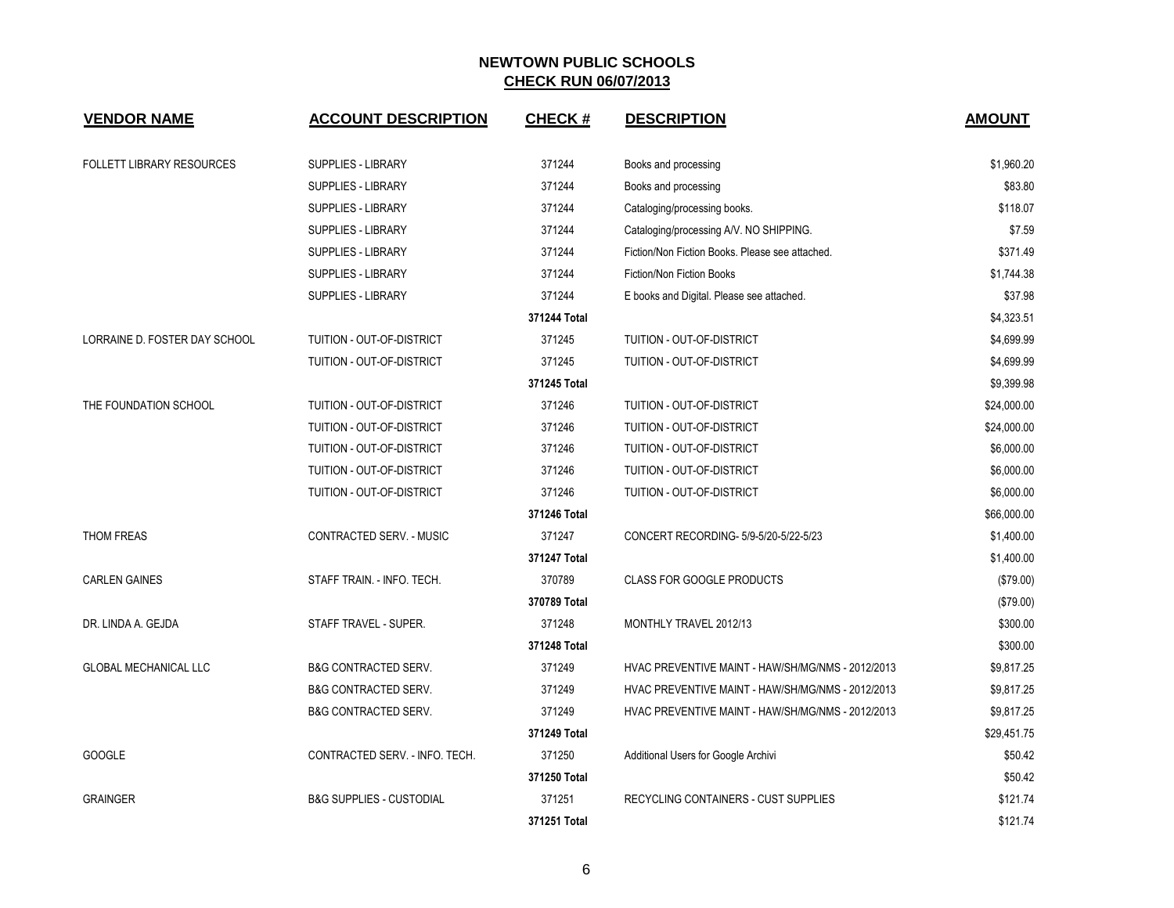| <b>VENDOR NAME</b>               | <b>ACCOUNT DESCRIPTION</b>          | <b>CHECK#</b> | <b>DESCRIPTION</b>                                | <b>AMOUNT</b> |
|----------------------------------|-------------------------------------|---------------|---------------------------------------------------|---------------|
| <b>FOLLETT LIBRARY RESOURCES</b> | SUPPLIES - LIBRARY                  | 371244        | Books and processing                              | \$1,960.20    |
|                                  | <b>SUPPLIES - LIBRARY</b>           | 371244        | Books and processing                              | \$83.80       |
|                                  | SUPPLIES - LIBRARY                  | 371244        | Cataloging/processing books.                      | \$118.07      |
|                                  | <b>SUPPLIES - LIBRARY</b>           | 371244        | Cataloging/processing A/V. NO SHIPPING.           | \$7.59        |
|                                  | SUPPLIES - LIBRARY                  | 371244        | Fiction/Non Fiction Books. Please see attached.   | \$371.49      |
|                                  | SUPPLIES - LIBRARY                  | 371244        | Fiction/Non Fiction Books                         | \$1,744.38    |
|                                  | SUPPLIES - LIBRARY                  | 371244        | E books and Digital. Please see attached.         | \$37.98       |
|                                  |                                     | 371244 Total  |                                                   | \$4,323.51    |
| LORRAINE D. FOSTER DAY SCHOOL    | TUITION - OUT-OF-DISTRICT           | 371245        | TUITION - OUT-OF-DISTRICT                         | \$4,699.99    |
|                                  | TUITION - OUT-OF-DISTRICT           | 371245        | TUITION - OUT-OF-DISTRICT                         | \$4,699.99    |
|                                  |                                     | 371245 Total  |                                                   | \$9,399.98    |
| THE FOUNDATION SCHOOL            | TUITION - OUT-OF-DISTRICT           | 371246        | TUITION - OUT-OF-DISTRICT                         | \$24,000.00   |
|                                  | TUITION - OUT-OF-DISTRICT           | 371246        | TUITION - OUT-OF-DISTRICT                         | \$24,000.00   |
|                                  | TUITION - OUT-OF-DISTRICT           | 371246        | TUITION - OUT-OF-DISTRICT                         | \$6,000.00    |
|                                  | <b>TUITION - OUT-OF-DISTRICT</b>    | 371246        | TUITION - OUT-OF-DISTRICT                         | \$6,000.00    |
|                                  | TUITION - OUT-OF-DISTRICT           | 371246        | TUITION - OUT-OF-DISTRICT                         | \$6,000.00    |
|                                  |                                     | 371246 Total  |                                                   | \$66,000.00   |
| THOM FREAS                       | CONTRACTED SERV. - MUSIC            | 371247        | CONCERT RECORDING- 5/9-5/20-5/22-5/23             | \$1,400.00    |
|                                  |                                     | 371247 Total  |                                                   | \$1,400.00    |
| <b>CARLEN GAINES</b>             | STAFF TRAIN. - INFO. TECH.          | 370789        | <b>CLASS FOR GOOGLE PRODUCTS</b>                  | (\$79.00)     |
|                                  |                                     | 370789 Total  |                                                   | (\$79.00)     |
| DR. LINDA A. GEJDA               | STAFF TRAVEL - SUPER.               | 371248        | MONTHLY TRAVEL 2012/13                            | \$300.00      |
|                                  |                                     | 371248 Total  |                                                   | \$300.00      |
| <b>GLOBAL MECHANICAL LLC</b>     | <b>B&amp;G CONTRACTED SERV.</b>     | 371249        | HVAC PREVENTIVE MAINT - HAW/SH/MG/NMS - 2012/2013 | \$9,817.25    |
|                                  | <b>B&amp;G CONTRACTED SERV.</b>     | 371249        | HVAC PREVENTIVE MAINT - HAW/SH/MG/NMS - 2012/2013 | \$9,817.25    |
|                                  | <b>B&amp;G CONTRACTED SERV.</b>     | 371249        | HVAC PREVENTIVE MAINT - HAW/SH/MG/NMS - 2012/2013 | \$9,817.25    |
|                                  |                                     | 371249 Total  |                                                   | \$29,451.75   |
| <b>GOOGLE</b>                    | CONTRACTED SERV. - INFO. TECH.      | 371250        | Additional Users for Google Archivi               | \$50.42       |
|                                  |                                     | 371250 Total  |                                                   | \$50.42       |
| <b>GRAINGER</b>                  | <b>B&amp;G SUPPLIES - CUSTODIAL</b> | 371251        | RECYCLING CONTAINERS - CUST SUPPLIES              | \$121.74      |
|                                  |                                     | 371251 Total  |                                                   | \$121.74      |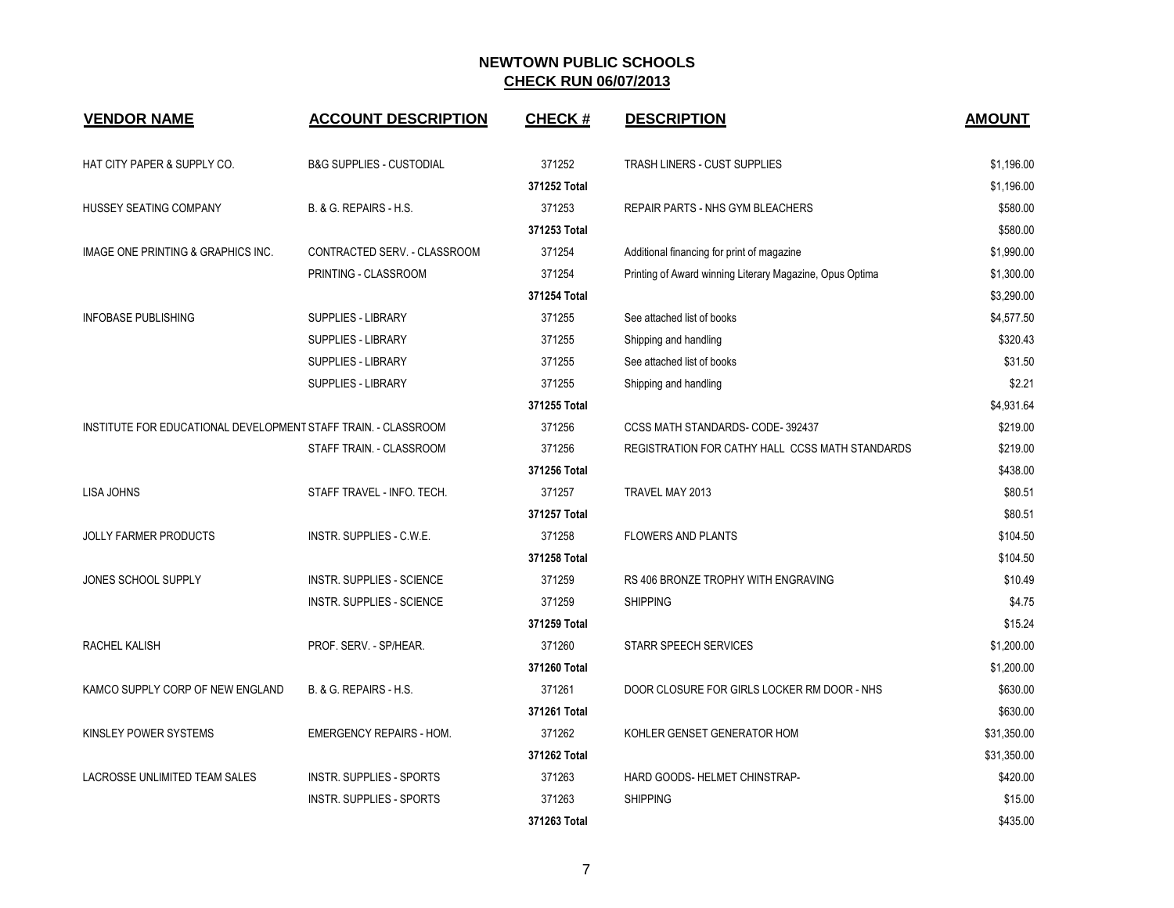| <b>VENDOR NAME</b>                                             | <b>ACCOUNT DESCRIPTION</b>          | <b>CHECK#</b> | <b>DESCRIPTION</b>                                       | <b>AMOUNT</b> |
|----------------------------------------------------------------|-------------------------------------|---------------|----------------------------------------------------------|---------------|
| HAT CITY PAPER & SUPPLY CO.                                    | <b>B&amp;G SUPPLIES - CUSTODIAL</b> | 371252        | TRASH LINERS - CUST SUPPLIES                             | \$1,196.00    |
|                                                                |                                     | 371252 Total  |                                                          | \$1,196.00    |
| HUSSEY SEATING COMPANY                                         | B. & G. REPAIRS - H.S.              | 371253        | REPAIR PARTS - NHS GYM BLEACHERS                         | \$580.00      |
|                                                                |                                     | 371253 Total  |                                                          | \$580.00      |
| IMAGE ONE PRINTING & GRAPHICS INC.                             | CONTRACTED SERV. - CLASSROOM        | 371254        | Additional financing for print of magazine               | \$1,990.00    |
|                                                                | PRINTING - CLASSROOM                | 371254        | Printing of Award winning Literary Magazine, Opus Optima | \$1,300.00    |
|                                                                |                                     | 371254 Total  |                                                          | \$3.290.00    |
| <b>INFOBASE PUBLISHING</b>                                     | SUPPLIES - LIBRARY                  | 371255        | See attached list of books                               | \$4,577.50    |
|                                                                | <b>SUPPLIES - LIBRARY</b>           | 371255        | Shipping and handling                                    | \$320.43      |
|                                                                | SUPPLIES - LIBRARY                  | 371255        | See attached list of books                               | \$31.50       |
|                                                                | <b>SUPPLIES - LIBRARY</b>           | 371255        | Shipping and handling                                    | \$2.21        |
|                                                                |                                     | 371255 Total  |                                                          | \$4,931.64    |
| INSTITUTE FOR EDUCATIONAL DEVELOPMENT STAFF TRAIN. - CLASSROOM |                                     | 371256        | CCSS MATH STANDARDS- CODE-392437                         | \$219.00      |
|                                                                | STAFF TRAIN. - CLASSROOM            | 371256        | REGISTRATION FOR CATHY HALL CCSS MATH STANDARDS          | \$219.00      |
|                                                                |                                     | 371256 Total  |                                                          | \$438.00      |
| LISA JOHNS                                                     | STAFF TRAVEL - INFO. TECH.          | 371257        | TRAVEL MAY 2013                                          | \$80.51       |
|                                                                |                                     | 371257 Total  |                                                          | \$80.51       |
| <b>JOLLY FARMER PRODUCTS</b>                                   | INSTR. SUPPLIES - C.W.E.            | 371258        | <b>FLOWERS AND PLANTS</b>                                | \$104.50      |
|                                                                |                                     | 371258 Total  |                                                          | \$104.50      |
| JONES SCHOOL SUPPLY                                            | <b>INSTR. SUPPLIES - SCIENCE</b>    | 371259        | RS 406 BRONZE TROPHY WITH ENGRAVING                      | \$10.49       |
|                                                                | <b>INSTR. SUPPLIES - SCIENCE</b>    | 371259        | <b>SHIPPING</b>                                          | \$4.75        |
|                                                                |                                     | 371259 Total  |                                                          | \$15.24       |
| RACHEL KALISH                                                  | PROF. SERV. - SP/HEAR.              | 371260        | <b>STARR SPEECH SERVICES</b>                             | \$1,200.00    |
|                                                                |                                     | 371260 Total  |                                                          | \$1,200.00    |
| KAMCO SUPPLY CORP OF NEW ENGLAND                               | B. & G. REPAIRS - H.S.              | 371261        | DOOR CLOSURE FOR GIRLS LOCKER RM DOOR - NHS              | \$630.00      |
|                                                                |                                     | 371261 Total  |                                                          | \$630.00      |
| KINSLEY POWER SYSTEMS                                          | <b>EMERGENCY REPAIRS - HOM.</b>     | 371262        | KOHLER GENSET GENERATOR HOM                              | \$31,350.00   |
|                                                                |                                     | 371262 Total  |                                                          | \$31,350.00   |
| LACROSSE UNLIMITED TEAM SALES                                  | INSTR. SUPPLIES - SPORTS            | 371263        | HARD GOODS- HELMET CHINSTRAP-                            | \$420.00      |
|                                                                | <b>INSTR. SUPPLIES - SPORTS</b>     | 371263        | <b>SHIPPING</b>                                          | \$15.00       |
|                                                                |                                     | 371263 Total  |                                                          | \$435.00      |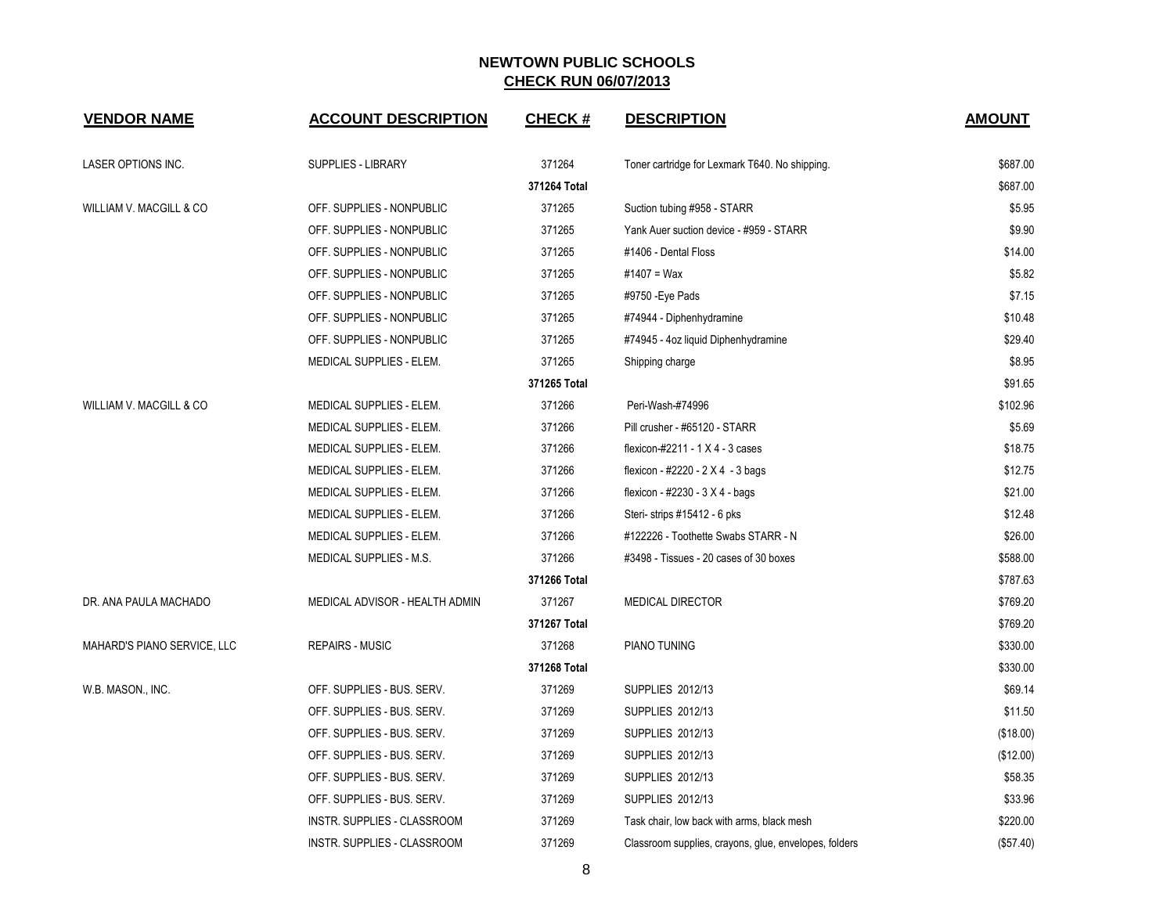| <b>VENDOR NAME</b>                 | <b>ACCOUNT DESCRIPTION</b>     | <b>CHECK#</b> | <b>DESCRIPTION</b>                                    | <b>AMOUNT</b> |
|------------------------------------|--------------------------------|---------------|-------------------------------------------------------|---------------|
| <b>LASER OPTIONS INC.</b>          | <b>SUPPLIES - LIBRARY</b>      | 371264        | Toner cartridge for Lexmark T640. No shipping.        | \$687.00      |
|                                    |                                | 371264 Total  |                                                       | \$687.00      |
| WILLIAM V. MACGILL & CO            | OFF. SUPPLIES - NONPUBLIC      | 371265        | Suction tubing #958 - STARR                           | \$5.95        |
|                                    | OFF. SUPPLIES - NONPUBLIC      | 371265        | Yank Auer suction device - #959 - STARR               | \$9.90        |
|                                    | OFF. SUPPLIES - NONPUBLIC      | 371265        | #1406 - Dental Floss                                  | \$14.00       |
|                                    | OFF. SUPPLIES - NONPUBLIC      | 371265        | #1407 = Wax                                           | \$5.82        |
|                                    | OFF. SUPPLIES - NONPUBLIC      | 371265        | #9750 - Eye Pads                                      | \$7.15        |
|                                    | OFF. SUPPLIES - NONPUBLIC      | 371265        | #74944 - Diphenhydramine                              | \$10.48       |
|                                    | OFF. SUPPLIES - NONPUBLIC      | 371265        | #74945 - 4oz liquid Diphenhydramine                   | \$29.40       |
|                                    | MEDICAL SUPPLIES - ELEM.       | 371265        | Shipping charge                                       | \$8.95        |
|                                    |                                | 371265 Total  |                                                       | \$91.65       |
| <b>WILLIAM V. MACGILL &amp; CO</b> | MEDICAL SUPPLIES - ELEM.       | 371266        | Peri-Wash-#74996                                      | \$102.96      |
|                                    | MEDICAL SUPPLIES - ELEM.       | 371266        | Pill crusher - #65120 - STARR                         | \$5.69        |
|                                    | MEDICAL SUPPLIES - ELEM.       | 371266        | flexicon-#2211 - 1 X 4 - 3 cases                      | \$18.75       |
|                                    | MEDICAL SUPPLIES - ELEM.       | 371266        | flexicon - #2220 - $2 \times 4$ - 3 bags              | \$12.75       |
|                                    | MEDICAL SUPPLIES - ELEM.       | 371266        | flexicon - #2230 - 3 X 4 - bags                       | \$21.00       |
|                                    | MEDICAL SUPPLIES - ELEM.       | 371266        | Steri-strips #15412 - 6 pks                           | \$12.48       |
|                                    | MEDICAL SUPPLIES - ELEM.       | 371266        | #122226 - Toothette Swabs STARR - N                   | \$26.00       |
|                                    | MEDICAL SUPPLIES - M.S.        | 371266        | #3498 - Tissues - 20 cases of 30 boxes                | \$588.00      |
|                                    |                                | 371266 Total  |                                                       | \$787.63      |
| DR. ANA PAULA MACHADO              | MEDICAL ADVISOR - HEALTH ADMIN | 371267        | <b>MEDICAL DIRECTOR</b>                               | \$769.20      |
|                                    |                                | 371267 Total  |                                                       | \$769.20      |
| MAHARD'S PIANO SERVICE, LLC        | <b>REPAIRS - MUSIC</b>         | 371268        | PIANO TUNING                                          | \$330.00      |
|                                    |                                | 371268 Total  |                                                       | \$330.00      |
| W.B. MASON., INC.                  | OFF. SUPPLIES - BUS. SERV.     | 371269        | <b>SUPPLIES 2012/13</b>                               | \$69.14       |
|                                    | OFF. SUPPLIES - BUS. SERV.     | 371269        | SUPPLIES 2012/13                                      | \$11.50       |
|                                    | OFF. SUPPLIES - BUS. SERV.     | 371269        | SUPPLIES 2012/13                                      | (\$18.00)     |
|                                    | OFF. SUPPLIES - BUS. SERV.     | 371269        | SUPPLIES 2012/13                                      | (\$12.00)     |
|                                    | OFF. SUPPLIES - BUS. SERV.     | 371269        | <b>SUPPLIES 2012/13</b>                               | \$58.35       |
|                                    | OFF. SUPPLIES - BUS. SERV.     | 371269        | SUPPLIES 2012/13                                      | \$33.96       |
|                                    | INSTR. SUPPLIES - CLASSROOM    | 371269        | Task chair, low back with arms, black mesh            | \$220.00      |
|                                    | INSTR. SUPPLIES - CLASSROOM    | 371269        | Classroom supplies, crayons, glue, envelopes, folders | (\$57.40)     |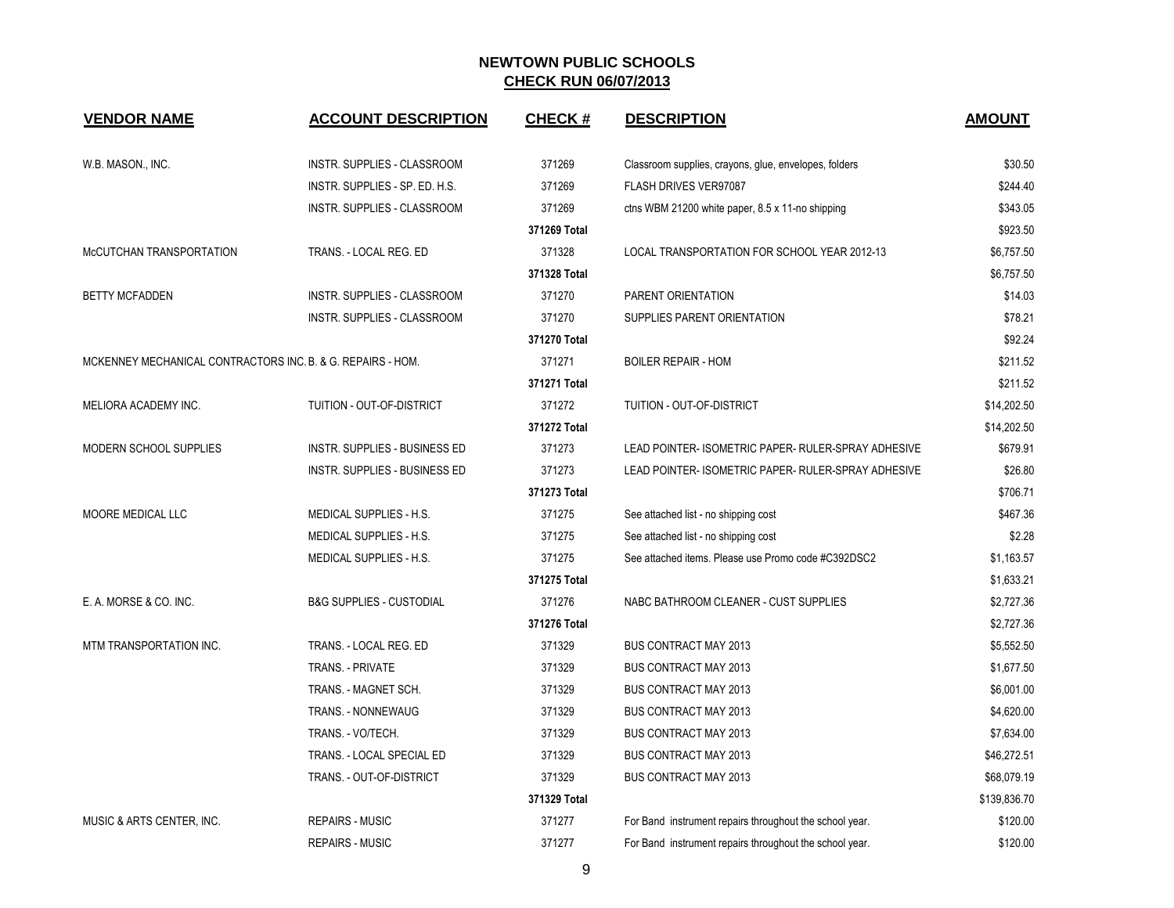| <b>VENDOR NAME</b>                                          | <b>ACCOUNT DESCRIPTION</b>          | <b>CHECK#</b> | <b>DESCRIPTION</b>                                      | <b>AMOUNT</b> |
|-------------------------------------------------------------|-------------------------------------|---------------|---------------------------------------------------------|---------------|
| W.B. MASON., INC.                                           | INSTR. SUPPLIES - CLASSROOM         | 371269        | Classroom supplies, crayons, glue, envelopes, folders   | \$30.50       |
|                                                             | INSTR. SUPPLIES - SP. ED. H.S.      | 371269        | FLASH DRIVES VER97087                                   | \$244.40      |
|                                                             |                                     |               |                                                         |               |
|                                                             | INSTR. SUPPLIES - CLASSROOM         | 371269        | ctns WBM 21200 white paper, 8.5 x 11-no shipping        | \$343.05      |
|                                                             |                                     | 371269 Total  |                                                         | \$923.50      |
| McCUTCHAN TRANSPORTATION                                    | TRANS. - LOCAL REG. ED              | 371328        | LOCAL TRANSPORTATION FOR SCHOOL YEAR 2012-13            | \$6,757.50    |
|                                                             |                                     | 371328 Total  |                                                         | \$6,757.50    |
| <b>BETTY MCFADDEN</b>                                       | INSTR. SUPPLIES - CLASSROOM         | 371270        | PARENT ORIENTATION                                      | \$14.03       |
|                                                             | INSTR. SUPPLIES - CLASSROOM         | 371270        | SUPPLIES PARENT ORIENTATION                             | \$78.21       |
|                                                             |                                     | 371270 Total  |                                                         | \$92.24       |
| MCKENNEY MECHANICAL CONTRACTORS INC. B. & G. REPAIRS - HOM. |                                     | 371271        | <b>BOILER REPAIR - HOM</b>                              | \$211.52      |
|                                                             |                                     | 371271 Total  |                                                         | \$211.52      |
| MELIORA ACADEMY INC.                                        | TUITION - OUT-OF-DISTRICT           | 371272        | TUITION - OUT-OF-DISTRICT                               | \$14,202.50   |
|                                                             |                                     | 371272 Total  |                                                         | \$14,202.50   |
| MODERN SCHOOL SUPPLIES                                      | INSTR. SUPPLIES - BUSINESS ED       | 371273        | LEAD POINTER- ISOMETRIC PAPER- RULER-SPRAY ADHESIVE     | \$679.91      |
|                                                             | INSTR. SUPPLIES - BUSINESS ED       | 371273        | LEAD POINTER- ISOMETRIC PAPER- RULER-SPRAY ADHESIVE     | \$26.80       |
|                                                             |                                     | 371273 Total  |                                                         | \$706.71      |
| MOORE MEDICAL LLC                                           | MEDICAL SUPPLIES - H.S.             | 371275        | See attached list - no shipping cost                    | \$467.36      |
|                                                             | <b>MEDICAL SUPPLIES - H.S.</b>      | 371275        | See attached list - no shipping cost                    | \$2.28        |
|                                                             | MEDICAL SUPPLIES - H.S.             | 371275        | See attached items. Please use Promo code #C392DSC2     | \$1,163.57    |
|                                                             |                                     | 371275 Total  |                                                         | \$1,633.21    |
| E. A. MORSE & CO. INC.                                      | <b>B&amp;G SUPPLIES - CUSTODIAL</b> | 371276        | NABC BATHROOM CLEANER - CUST SUPPLIES                   | \$2,727.36    |
|                                                             |                                     | 371276 Total  |                                                         | \$2,727.36    |
| MTM TRANSPORTATION INC.                                     | TRANS. - LOCAL REG. ED              | 371329        | <b>BUS CONTRACT MAY 2013</b>                            | \$5,552.50    |
|                                                             | TRANS. - PRIVATE                    | 371329        | <b>BUS CONTRACT MAY 2013</b>                            | \$1,677.50    |
|                                                             | TRANS. - MAGNET SCH.                | 371329        | <b>BUS CONTRACT MAY 2013</b>                            | \$6,001.00    |
|                                                             | TRANS. - NONNEWAUG                  | 371329        | <b>BUS CONTRACT MAY 2013</b>                            | \$4,620.00    |
|                                                             | TRANS. - VO/TECH.                   | 371329        | <b>BUS CONTRACT MAY 2013</b>                            | \$7,634.00    |
|                                                             | TRANS. - LOCAL SPECIAL ED           | 371329        | <b>BUS CONTRACT MAY 2013</b>                            | \$46,272.51   |
|                                                             | TRANS. - OUT-OF-DISTRICT            | 371329        | <b>BUS CONTRACT MAY 2013</b>                            | \$68,079.19   |
|                                                             |                                     | 371329 Total  |                                                         | \$139,836.70  |
| MUSIC & ARTS CENTER, INC.                                   | <b>REPAIRS - MUSIC</b>              | 371277        | For Band instrument repairs throughout the school year. | \$120.00      |
|                                                             | <b>REPAIRS - MUSIC</b>              | 371277        | For Band instrument repairs throughout the school year. | \$120.00      |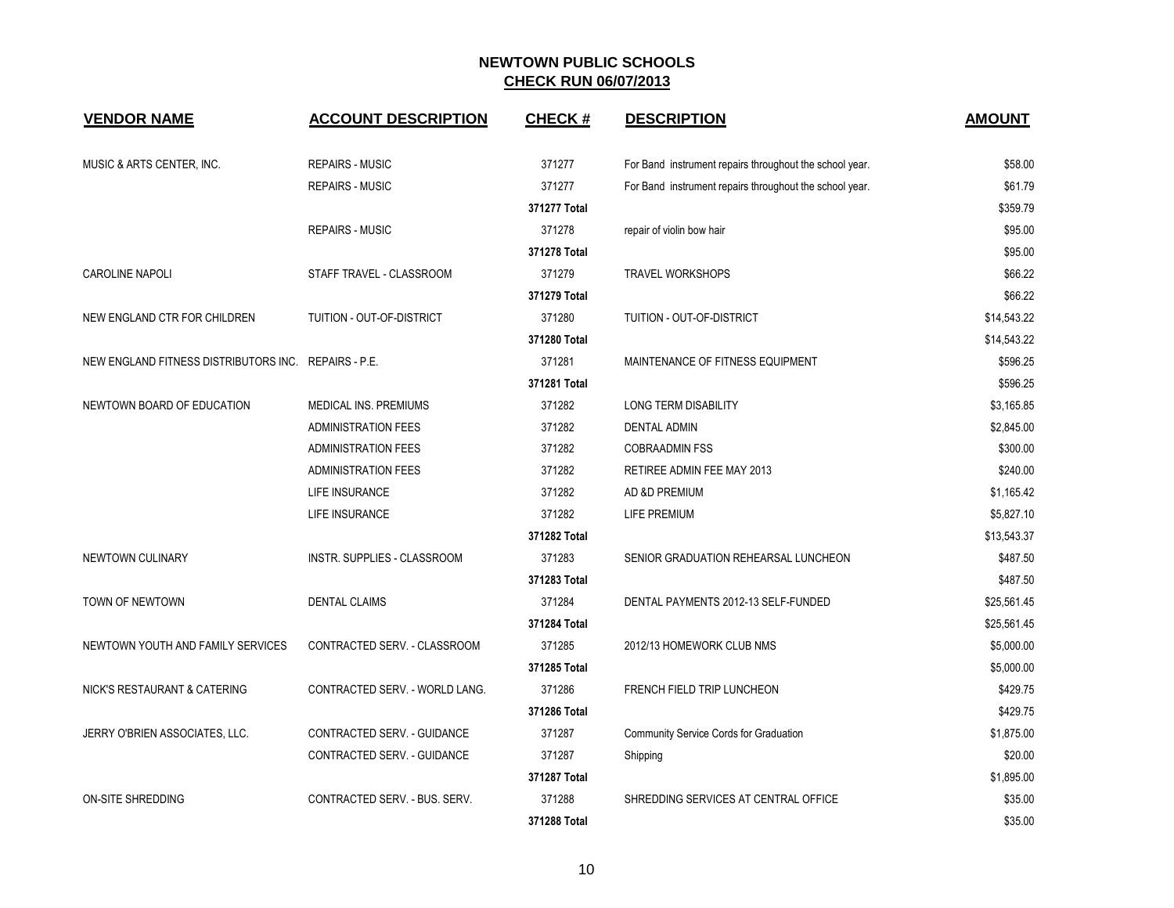| <b>VENDOR NAME</b>                                   | <b>ACCOUNT DESCRIPTION</b>       | <b>CHECK#</b> | <b>DESCRIPTION</b>                                      | <b>AMOUNT</b> |
|------------------------------------------------------|----------------------------------|---------------|---------------------------------------------------------|---------------|
| MUSIC & ARTS CENTER, INC.                            | <b>REPAIRS - MUSIC</b>           | 371277        | For Band instrument repairs throughout the school year. | \$58.00       |
|                                                      | <b>REPAIRS - MUSIC</b>           | 371277        | For Band instrument repairs throughout the school year. | \$61.79       |
|                                                      |                                  | 371277 Total  |                                                         | \$359.79      |
|                                                      | <b>REPAIRS - MUSIC</b>           | 371278        | repair of violin bow hair                               | \$95.00       |
|                                                      |                                  | 371278 Total  |                                                         | \$95.00       |
| <b>CAROLINE NAPOLI</b>                               | STAFF TRAVEL - CLASSROOM         | 371279        | <b>TRAVEL WORKSHOPS</b>                                 | \$66.22       |
|                                                      |                                  | 371279 Total  |                                                         | \$66.22       |
| NEW ENGLAND CTR FOR CHILDREN                         | <b>TUITION - OUT-OF-DISTRICT</b> | 371280        | TUITION - OUT-OF-DISTRICT                               | \$14,543.22   |
|                                                      |                                  | 371280 Total  |                                                         | \$14,543.22   |
| NEW ENGLAND FITNESS DISTRIBUTORS INC. REPAIRS - P.E. |                                  | 371281        | MAINTENANCE OF FITNESS EQUIPMENT                        | \$596.25      |
|                                                      |                                  | 371281 Total  |                                                         | \$596.25      |
| NEWTOWN BOARD OF EDUCATION                           | <b>MEDICAL INS. PREMIUMS</b>     | 371282        | LONG TERM DISABILITY                                    | \$3,165.85    |
|                                                      | <b>ADMINISTRATION FEES</b>       | 371282        | <b>DENTAL ADMIN</b>                                     | \$2,845.00    |
|                                                      | <b>ADMINISTRATION FEES</b>       | 371282        | <b>COBRAADMIN FSS</b>                                   | \$300.00      |
|                                                      | <b>ADMINISTRATION FEES</b>       | 371282        | RETIREE ADMIN FEE MAY 2013                              | \$240.00      |
|                                                      | LIFE INSURANCE                   | 371282        | AD &D PREMIUM                                           | \$1,165.42    |
|                                                      | LIFE INSURANCE                   | 371282        | <b>LIFE PREMIUM</b>                                     | \$5,827.10    |
|                                                      |                                  | 371282 Total  |                                                         | \$13,543.37   |
| <b>NEWTOWN CULINARY</b>                              | INSTR. SUPPLIES - CLASSROOM      | 371283        | SENIOR GRADUATION REHEARSAL LUNCHEON                    | \$487.50      |
|                                                      |                                  | 371283 Total  |                                                         | \$487.50      |
| TOWN OF NEWTOWN                                      | <b>DENTAL CLAIMS</b>             | 371284        | DENTAL PAYMENTS 2012-13 SELF-FUNDED                     | \$25,561.45   |
|                                                      |                                  | 371284 Total  |                                                         | \$25,561.45   |
| NEWTOWN YOUTH AND FAMILY SERVICES                    | CONTRACTED SERV. - CLASSROOM     | 371285        | 2012/13 HOMEWORK CLUB NMS                               | \$5,000.00    |
|                                                      |                                  | 371285 Total  |                                                         | \$5,000.00    |
| NICK'S RESTAURANT & CATERING                         | CONTRACTED SERV. - WORLD LANG.   | 371286        | FRENCH FIELD TRIP LUNCHEON                              | \$429.75      |
|                                                      |                                  | 371286 Total  |                                                         | \$429.75      |
| JERRY O'BRIEN ASSOCIATES, LLC.                       | CONTRACTED SERV. - GUIDANCE      | 371287        | Community Service Cords for Graduation                  | \$1,875.00    |
|                                                      | CONTRACTED SERV. - GUIDANCE      | 371287        | Shipping                                                | \$20.00       |
|                                                      |                                  | 371287 Total  |                                                         | \$1,895.00    |
| <b>ON-SITE SHREDDING</b>                             | CONTRACTED SERV. - BUS. SERV.    | 371288        | SHREDDING SERVICES AT CENTRAL OFFICE                    | \$35.00       |
|                                                      |                                  | 371288 Total  |                                                         | \$35.00       |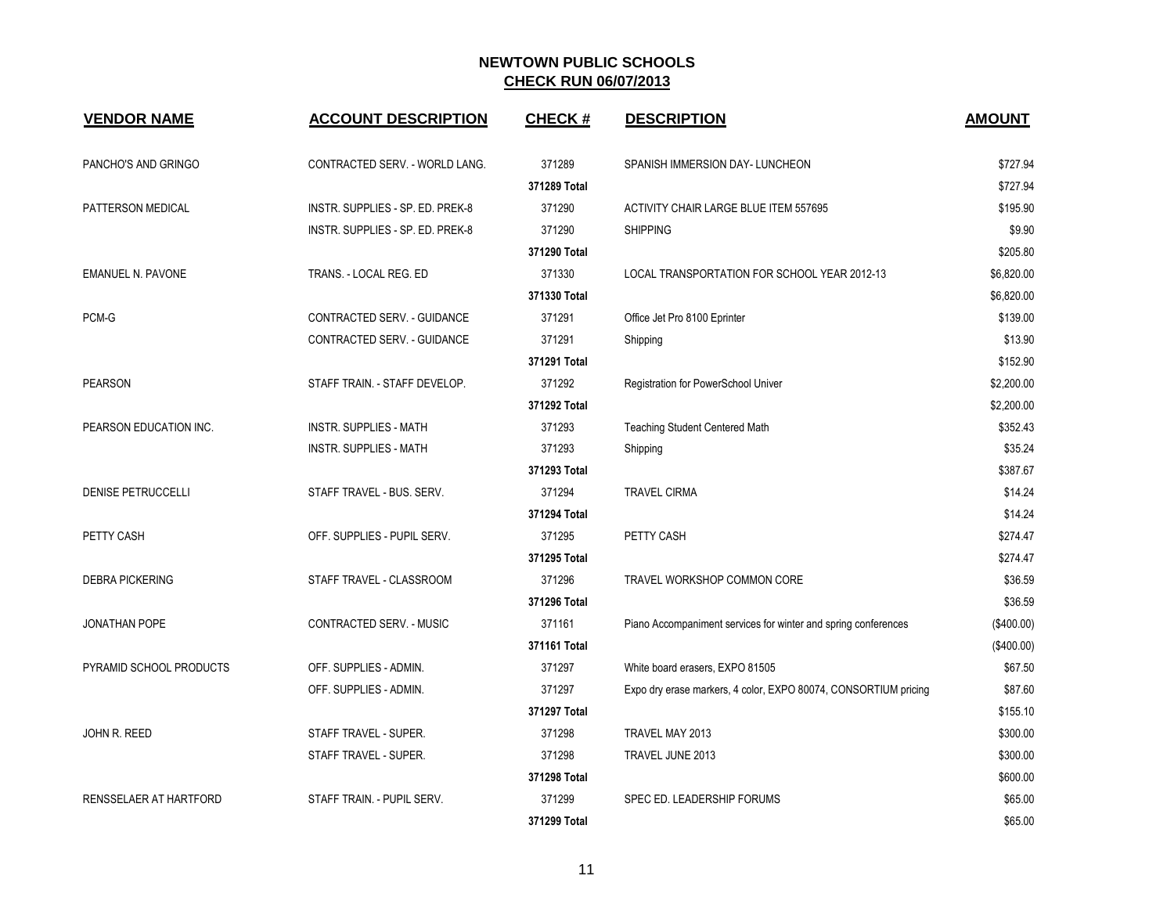| <b>VENDOR NAME</b>        | <b>ACCOUNT DESCRIPTION</b>       | <b>CHECK#</b> | <b>DESCRIPTION</b>                                              | <b>AMOUNT</b> |
|---------------------------|----------------------------------|---------------|-----------------------------------------------------------------|---------------|
| PANCHO'S AND GRINGO       | CONTRACTED SERV. - WORLD LANG.   | 371289        | SPANISH IMMERSION DAY- LUNCHEON                                 | \$727.94      |
|                           |                                  | 371289 Total  |                                                                 | \$727.94      |
| PATTERSON MEDICAL         | INSTR. SUPPLIES - SP. ED. PREK-8 | 371290        | <b>ACTIVITY CHAIR LARGE BLUE ITEM 557695</b>                    | \$195.90      |
|                           | INSTR. SUPPLIES - SP. ED. PREK-8 | 371290        | <b>SHIPPING</b>                                                 | \$9.90        |
|                           |                                  | 371290 Total  |                                                                 | \$205.80      |
| <b>EMANUEL N. PAVONE</b>  | TRANS. - LOCAL REG. ED           | 371330        | LOCAL TRANSPORTATION FOR SCHOOL YEAR 2012-13                    | \$6,820.00    |
|                           |                                  | 371330 Total  |                                                                 | \$6,820.00    |
| PCM-G                     | CONTRACTED SERV. - GUIDANCE      | 371291        | Office Jet Pro 8100 Eprinter                                    | \$139.00      |
|                           | CONTRACTED SERV. - GUIDANCE      | 371291        | Shipping                                                        | \$13.90       |
|                           |                                  | 371291 Total  |                                                                 | \$152.90      |
| <b>PEARSON</b>            | STAFF TRAIN. - STAFF DEVELOP.    | 371292        | Registration for PowerSchool Univer                             | \$2,200.00    |
|                           |                                  | 371292 Total  |                                                                 | \$2,200.00    |
| PEARSON EDUCATION INC.    | <b>INSTR. SUPPLIES - MATH</b>    | 371293        | Teaching Student Centered Math                                  | \$352.43      |
|                           | <b>INSTR. SUPPLIES - MATH</b>    | 371293        | Shipping                                                        | \$35.24       |
|                           |                                  | 371293 Total  |                                                                 | \$387.67      |
| <b>DENISE PETRUCCELLI</b> | STAFF TRAVEL - BUS. SERV.        | 371294        | <b>TRAVEL CIRMA</b>                                             | \$14.24       |
|                           |                                  | 371294 Total  |                                                                 | \$14.24       |
| PETTY CASH                | OFF. SUPPLIES - PUPIL SERV.      | 371295        | PETTY CASH                                                      | \$274.47      |
|                           |                                  | 371295 Total  |                                                                 | \$274.47      |
| <b>DEBRA PICKERING</b>    | STAFF TRAVEL - CLASSROOM         | 371296        | TRAVEL WORKSHOP COMMON CORE                                     | \$36.59       |
|                           |                                  | 371296 Total  |                                                                 | \$36.59       |
| JONATHAN POPE             | CONTRACTED SERV. - MUSIC         | 371161        | Piano Accompaniment services for winter and spring conferences  | (\$400.00)    |
|                           |                                  | 371161 Total  |                                                                 | (\$400.00)    |
| PYRAMID SCHOOL PRODUCTS   | OFF. SUPPLIES - ADMIN.           | 371297        | White board erasers, EXPO 81505                                 | \$67.50       |
|                           | OFF. SUPPLIES - ADMIN.           | 371297        | Expo dry erase markers, 4 color, EXPO 80074, CONSORTIUM pricing | \$87.60       |
|                           |                                  | 371297 Total  |                                                                 | \$155.10      |
| JOHN R. REED              | STAFF TRAVEL - SUPER.            | 371298        | TRAVEL MAY 2013                                                 | \$300.00      |
|                           | STAFF TRAVEL - SUPER.            | 371298        | TRAVEL JUNE 2013                                                | \$300.00      |
|                           |                                  | 371298 Total  |                                                                 | \$600.00      |
| RENSSELAER AT HARTFORD    | STAFF TRAIN - PUPIL SERV.        | 371299        | SPEC ED. LEADERSHIP FORUMS                                      | \$65.00       |
|                           |                                  | 371299 Total  |                                                                 | \$65.00       |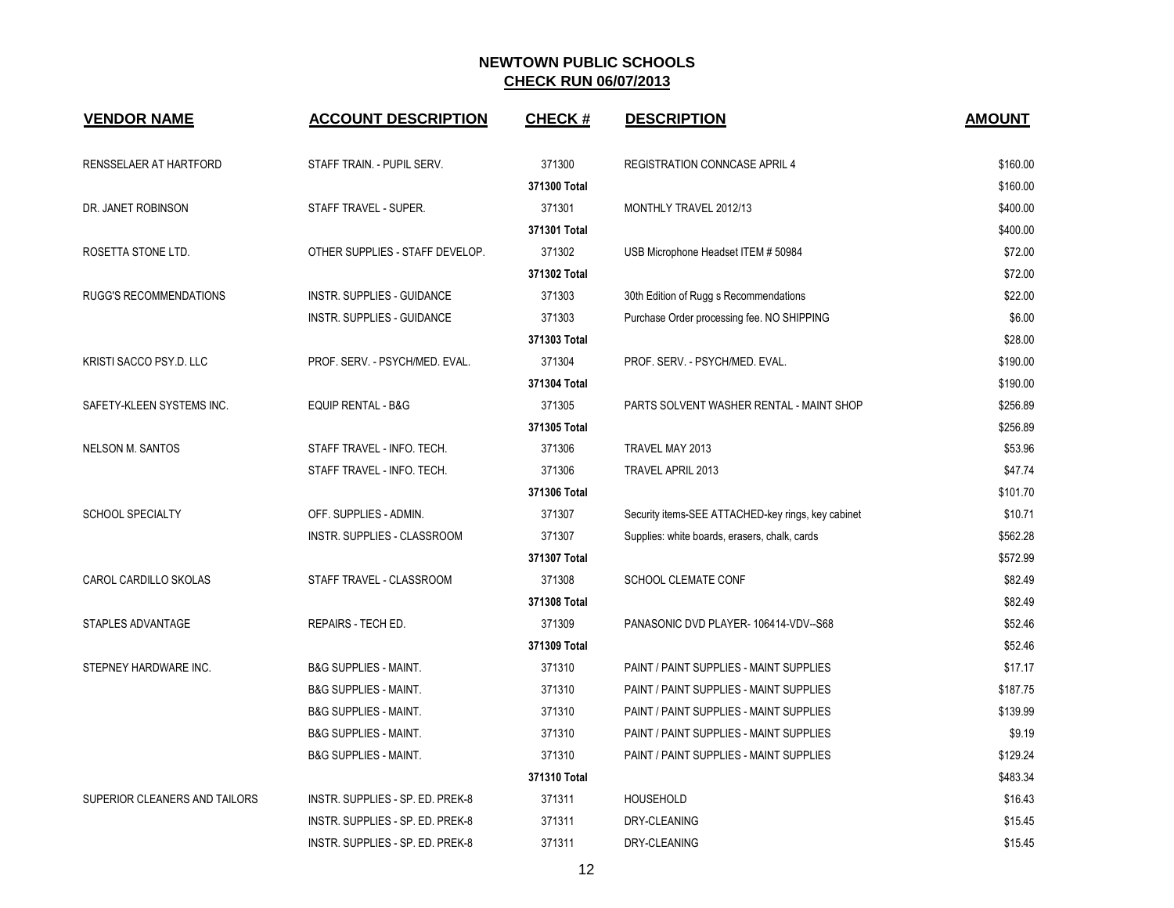| <b>VENDOR NAME</b>            | <b>ACCOUNT DESCRIPTION</b>       | <b>CHECK#</b> | <b>DESCRIPTION</b>                                 | <b>AMOUNT</b> |
|-------------------------------|----------------------------------|---------------|----------------------------------------------------|---------------|
| RENSSELAER AT HARTFORD        | STAFF TRAIN. - PUPIL SERV.       | 371300        | <b>REGISTRATION CONNCASE APRIL 4</b>               | \$160.00      |
|                               |                                  | 371300 Total  |                                                    | \$160.00      |
| DR. JANET ROBINSON            | STAFF TRAVEL - SUPER.            | 371301        | MONTHLY TRAVEL 2012/13                             | \$400.00      |
|                               |                                  | 371301 Total  |                                                    | \$400.00      |
| ROSETTA STONE LTD.            | OTHER SUPPLIES - STAFF DEVELOP.  | 371302        | USB Microphone Headset ITEM # 50984                | \$72.00       |
|                               |                                  | 371302 Total  |                                                    | \$72.00       |
| <b>RUGG'S RECOMMENDATIONS</b> | INSTR. SUPPLIES - GUIDANCE       | 371303        | 30th Edition of Rugg s Recommendations             | \$22.00       |
|                               | INSTR. SUPPLIES - GUIDANCE       | 371303        | Purchase Order processing fee. NO SHIPPING         | \$6.00        |
|                               |                                  | 371303 Total  |                                                    | \$28.00       |
| KRISTI SACCO PSY.D. LLC       | PROF. SERV. - PSYCH/MED. EVAL.   | 371304        | PROF. SERV. - PSYCH/MED. EVAL.                     | \$190.00      |
|                               |                                  | 371304 Total  |                                                    | \$190.00      |
| SAFETY-KLEEN SYSTEMS INC.     | <b>EQUIP RENTAL - B&amp;G</b>    | 371305        | PARTS SOLVENT WASHER RENTAL - MAINT SHOP           | \$256.89      |
|                               |                                  | 371305 Total  |                                                    | \$256.89      |
| <b>NELSON M. SANTOS</b>       | STAFF TRAVEL - INFO. TECH.       | 371306        | TRAVEL MAY 2013                                    | \$53.96       |
|                               | STAFF TRAVEL - INFO. TECH.       | 371306        | <b>TRAVEL APRIL 2013</b>                           | \$47.74       |
|                               |                                  | 371306 Total  |                                                    | \$101.70      |
| <b>SCHOOL SPECIALTY</b>       | OFF. SUPPLIES - ADMIN.           | 371307        | Security items-SEE ATTACHED-key rings, key cabinet | \$10.71       |
|                               | INSTR. SUPPLIES - CLASSROOM      | 371307        | Supplies: white boards, erasers, chalk, cards      | \$562.28      |
|                               |                                  | 371307 Total  |                                                    | \$572.99      |
| CAROL CARDILLO SKOLAS         | STAFF TRAVEL - CLASSROOM         | 371308        | <b>SCHOOL CLEMATE CONF</b>                         | \$82.49       |
|                               |                                  | 371308 Total  |                                                    | \$82.49       |
| STAPLES ADVANTAGE             | REPAIRS - TECH ED.               | 371309        | PANASONIC DVD PLAYER-106414-VDV--S68               | \$52.46       |
|                               |                                  | 371309 Total  |                                                    | \$52.46       |
| STEPNEY HARDWARE INC.         | <b>B&amp;G SUPPLIES - MAINT.</b> | 371310        | PAINT / PAINT SUPPLIES - MAINT SUPPLIES            | \$17.17       |
|                               | <b>B&amp;G SUPPLIES - MAINT.</b> | 371310        | PAINT / PAINT SUPPLIES - MAINT SUPPLIES            | \$187.75      |
|                               | <b>B&amp;G SUPPLIES - MAINT.</b> | 371310        | PAINT / PAINT SUPPLIES - MAINT SUPPLIES            | \$139.99      |
|                               | <b>B&amp;G SUPPLIES - MAINT.</b> | 371310        | PAINT / PAINT SUPPLIES - MAINT SUPPLIES            | \$9.19        |
|                               | <b>B&amp;G SUPPLIES - MAINT.</b> | 371310        | PAINT / PAINT SUPPLIES - MAINT SUPPLIES            | \$129.24      |
|                               |                                  | 371310 Total  |                                                    | \$483.34      |
| SUPERIOR CLEANERS AND TAILORS | INSTR. SUPPLIES - SP. ED. PREK-8 | 371311        | <b>HOUSEHOLD</b>                                   | \$16.43       |
|                               | INSTR. SUPPLIES - SP. ED. PREK-8 | 371311        | DRY-CLEANING                                       | \$15.45       |
|                               | INSTR. SUPPLIES - SP. ED. PREK-8 | 371311        | DRY-CLEANING                                       | \$15.45       |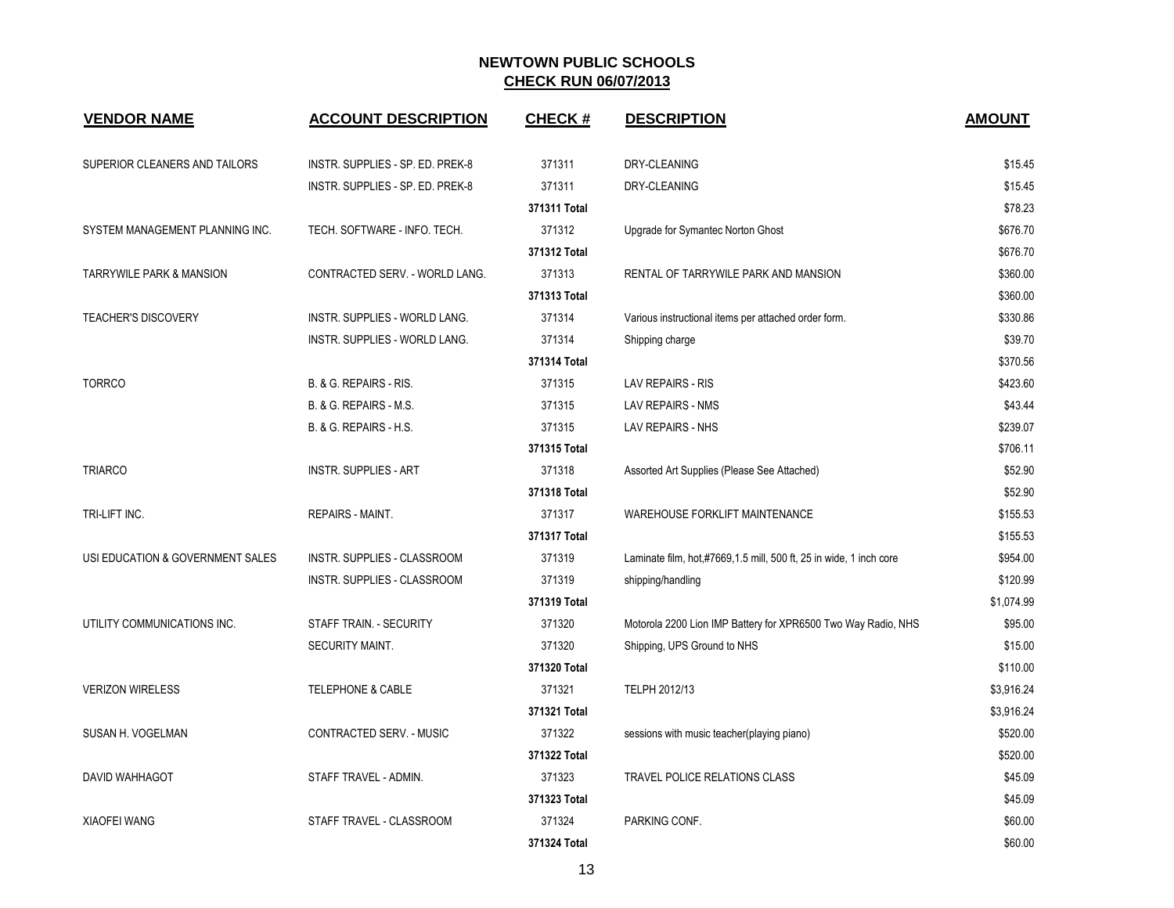| <b>VENDOR NAME</b>                  | <b>ACCOUNT DESCRIPTION</b>       | <b>CHECK#</b> | <b>DESCRIPTION</b>                                                 | <b>AMOUNT</b> |
|-------------------------------------|----------------------------------|---------------|--------------------------------------------------------------------|---------------|
| SUPERIOR CLEANERS AND TAILORS       | INSTR. SUPPLIES - SP. ED. PREK-8 | 371311        | DRY-CLEANING                                                       | \$15.45       |
|                                     | INSTR. SUPPLIES - SP. ED. PREK-8 | 371311        | DRY-CLEANING                                                       | \$15.45       |
|                                     |                                  | 371311 Total  |                                                                    | \$78.23       |
| SYSTEM MANAGEMENT PLANNING INC.     | TECH. SOFTWARE - INFO. TECH.     | 371312        | Upgrade for Symantec Norton Ghost                                  | \$676.70      |
|                                     |                                  | 371312 Total  |                                                                    | \$676.70      |
| <b>TARRYWILE PARK &amp; MANSION</b> | CONTRACTED SERV. - WORLD LANG.   | 371313        | RENTAL OF TARRYWILE PARK AND MANSION                               | \$360.00      |
|                                     |                                  | 371313 Total  |                                                                    | \$360.00      |
| <b>TEACHER'S DISCOVERY</b>          | INSTR. SUPPLIES - WORLD LANG.    | 371314        | Various instructional items per attached order form.               | \$330.86      |
|                                     | INSTR. SUPPLIES - WORLD LANG.    | 371314        | Shipping charge                                                    | \$39.70       |
|                                     |                                  | 371314 Total  |                                                                    | \$370.56      |
| <b>TORRCO</b>                       | B. & G. REPAIRS - RIS.           | 371315        | LAV REPAIRS - RIS                                                  | \$423.60      |
|                                     | B. & G. REPAIRS - M.S.           | 371315        | LAV REPAIRS - NMS                                                  | \$43.44       |
|                                     | B. & G. REPAIRS - H.S.           | 371315        | LAV REPAIRS - NHS                                                  | \$239.07      |
|                                     |                                  | 371315 Total  |                                                                    | \$706.11      |
| <b>TRIARCO</b>                      | <b>INSTR. SUPPLIES - ART</b>     | 371318        | Assorted Art Supplies (Please See Attached)                        | \$52.90       |
|                                     |                                  | 371318 Total  |                                                                    | \$52.90       |
| TRI-LIFT INC.                       | REPAIRS - MAINT.                 | 371317        | WAREHOUSE FORKLIFT MAINTENANCE                                     | \$155.53      |
|                                     |                                  | 371317 Total  |                                                                    | \$155.53      |
| USI EDUCATION & GOVERNMENT SALES    | INSTR. SUPPLIES - CLASSROOM      | 371319        | Laminate film, hot,#7669,1.5 mill, 500 ft, 25 in wide, 1 inch core | \$954.00      |
|                                     | INSTR. SUPPLIES - CLASSROOM      | 371319        | shipping/handling                                                  | \$120.99      |
|                                     |                                  | 371319 Total  |                                                                    | \$1,074.99    |
| UTILITY COMMUNICATIONS INC.         | STAFF TRAIN. - SECURITY          | 371320        | Motorola 2200 Lion IMP Battery for XPR6500 Two Way Radio, NHS      | \$95.00       |
|                                     | SECURITY MAINT.                  | 371320        | Shipping, UPS Ground to NHS                                        | \$15.00       |
|                                     |                                  | 371320 Total  |                                                                    | \$110.00      |
| <b>VERIZON WIRELESS</b>             | <b>TELEPHONE &amp; CABLE</b>     | 371321        | TELPH 2012/13                                                      | \$3,916.24    |
|                                     |                                  | 371321 Total  |                                                                    | \$3,916.24    |
| SUSAN H. VOGELMAN                   | CONTRACTED SERV. - MUSIC         | 371322        | sessions with music teacher(playing piano)                         | \$520.00      |
|                                     |                                  | 371322 Total  |                                                                    | \$520.00      |
| DAVID WAHHAGOT                      | STAFF TRAVEL - ADMIN.            | 371323        | TRAVEL POLICE RELATIONS CLASS                                      | \$45.09       |
|                                     |                                  | 371323 Total  |                                                                    | \$45.09       |
| XIAOFEI WANG                        | STAFF TRAVEL - CLASSROOM         | 371324        | PARKING CONF.                                                      | \$60.00       |
|                                     |                                  | 371324 Total  |                                                                    | \$60.00       |